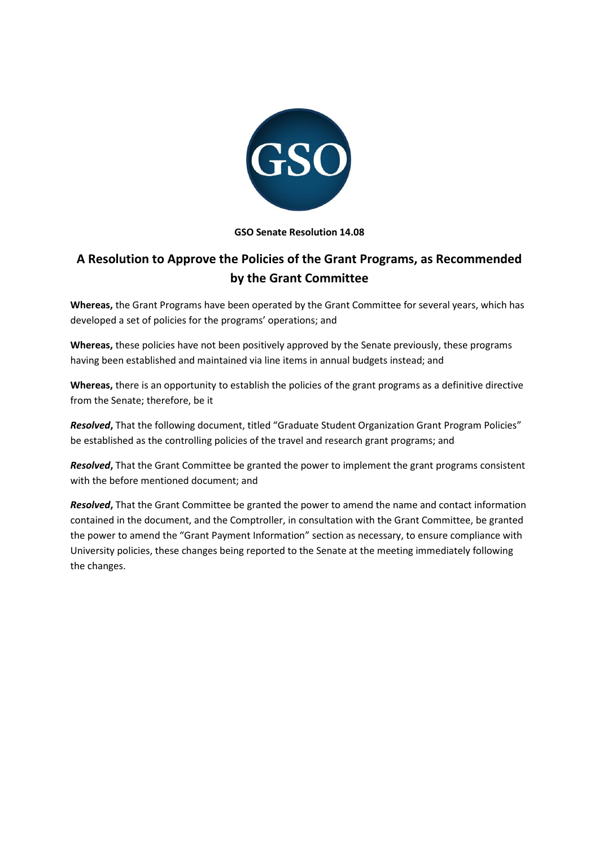

## **GSO Senate Resolution 14.08**

## **A Resolution to Approve the Policies of the Grant Programs, as Recommended by the Grant Committee**

**Whereas,** the Grant Programs have been operated by the Grant Committee for several years, which has developed a set of policies for the programs' operations; and

**Whereas,** these policies have not been positively approved by the Senate previously, these programs having been established and maintained via line items in annual budgets instead; and

**Whereas,** there is an opportunity to establish the policies of the grant programs as a definitive directive from the Senate; therefore, be it

*Resolved***,** That the following document, titled "Graduate Student Organization Grant Program Policies" be established as the controlling policies of the travel and research grant programs; and

*Resolved***,** That the Grant Committee be granted the power to implement the grant programs consistent with the before mentioned document; and

*Resolved***,** That the Grant Committee be granted the power to amend the name and contact information contained in the document, and the Comptroller, in consultation with the Grant Committee, be granted the power to amend the "Grant Payment Information" section as necessary, to ensure compliance with University policies, these changes being reported to the Senate at the meeting immediately following the changes.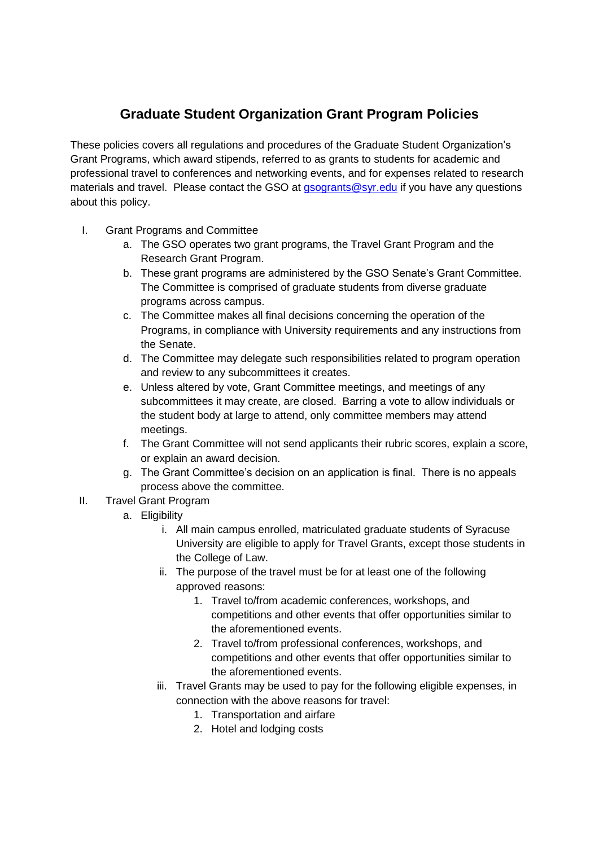## **Graduate Student Organization Grant Program Policies**

These policies covers all regulations and procedures of the Graduate Student Organization's Grant Programs, which award stipends, referred to as grants to students for academic and professional travel to conferences and networking events, and for expenses related to research materials and travel. Please contact the GSO at gsogrants@syr.edu if you have any questions about this policy.

- I. Grant Programs and Committee
	- a. The GSO operates two grant programs, the Travel Grant Program and the Research Grant Program.
	- b. These grant programs are administered by the GSO Senate's Grant Committee. The Committee is comprised of graduate students from diverse graduate programs across campus.
	- c. The Committee makes all final decisions concerning the operation of the Programs, in compliance with University requirements and any instructions from the Senate.
	- d. The Committee may delegate such responsibilities related to program operation and review to any subcommittees it creates.
	- e. Unless altered by vote, Grant Committee meetings, and meetings of any subcommittees it may create, are closed. Barring a vote to allow individuals or the student body at large to attend, only committee members may attend meetings.
	- f. The Grant Committee will not send applicants their rubric scores, explain a score, or explain an award decision.
	- g. The Grant Committee's decision on an application is final. There is no appeals process above the committee.
- II. Travel Grant Program
	- a. Eligibility
		- i. All main campus enrolled, matriculated graduate students of Syracuse University are eligible to apply for Travel Grants, except those students in the College of Law.
		- ii. The purpose of the travel must be for at least one of the following approved reasons:
			- 1. Travel to/from academic conferences, workshops, and competitions and other events that offer opportunities similar to the aforementioned events.
			- 2. Travel to/from professional conferences, workshops, and competitions and other events that offer opportunities similar to the aforementioned events.
		- iii. Travel Grants may be used to pay for the following eligible expenses, in connection with the above reasons for travel:
			- 1. Transportation and airfare
			- 2. Hotel and lodging costs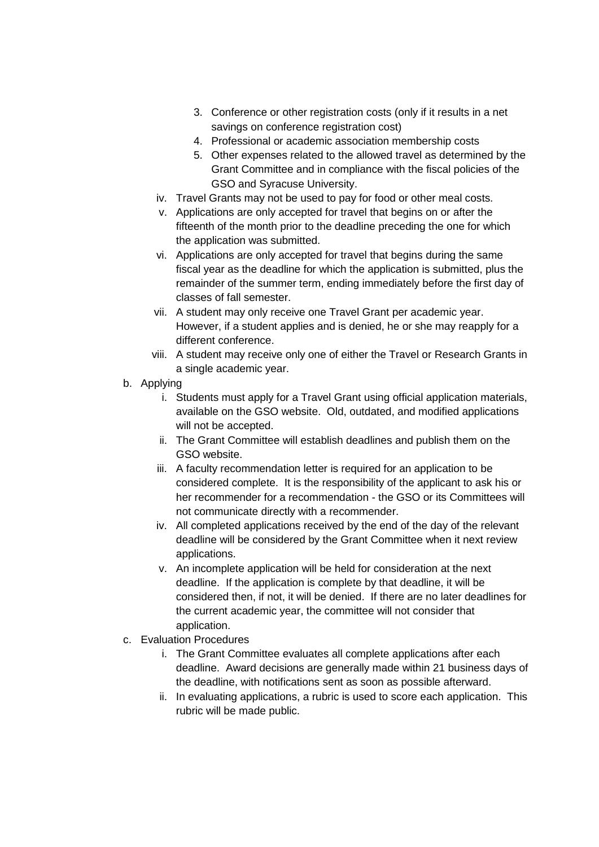- 3. Conference or other registration costs (only if it results in a net savings on conference registration cost)
- 4. Professional or academic association membership costs
- 5. Other expenses related to the allowed travel as determined by the Grant Committee and in compliance with the fiscal policies of the GSO and Syracuse University.
- iv. Travel Grants may not be used to pay for food or other meal costs.
- v. Applications are only accepted for travel that begins on or after the fifteenth of the month prior to the deadline preceding the one for which the application was submitted.
- vi. Applications are only accepted for travel that begins during the same fiscal year as the deadline for which the application is submitted, plus the remainder of the summer term, ending immediately before the first day of classes of fall semester.
- vii. A student may only receive one Travel Grant per academic year. However, if a student applies and is denied, he or she may reapply for a different conference.
- viii. A student may receive only one of either the Travel or Research Grants in a single academic year.
- b. Applying
	- i. Students must apply for a Travel Grant using official application materials, available on the GSO website. Old, outdated, and modified applications will not be accepted.
	- ii. The Grant Committee will establish deadlines and publish them on the GSO website.
	- iii. A faculty recommendation letter is required for an application to be considered complete. It is the responsibility of the applicant to ask his or her recommender for a recommendation - the GSO or its Committees will not communicate directly with a recommender.
	- iv. All completed applications received by the end of the day of the relevant deadline will be considered by the Grant Committee when it next review applications.
	- v. An incomplete application will be held for consideration at the next deadline. If the application is complete by that deadline, it will be considered then, if not, it will be denied. If there are no later deadlines for the current academic year, the committee will not consider that application.
- c. Evaluation Procedures
	- i. The Grant Committee evaluates all complete applications after each deadline. Award decisions are generally made within 21 business days of the deadline, with notifications sent as soon as possible afterward.
	- ii. In evaluating applications, a rubric is used to score each application. This rubric will be made public.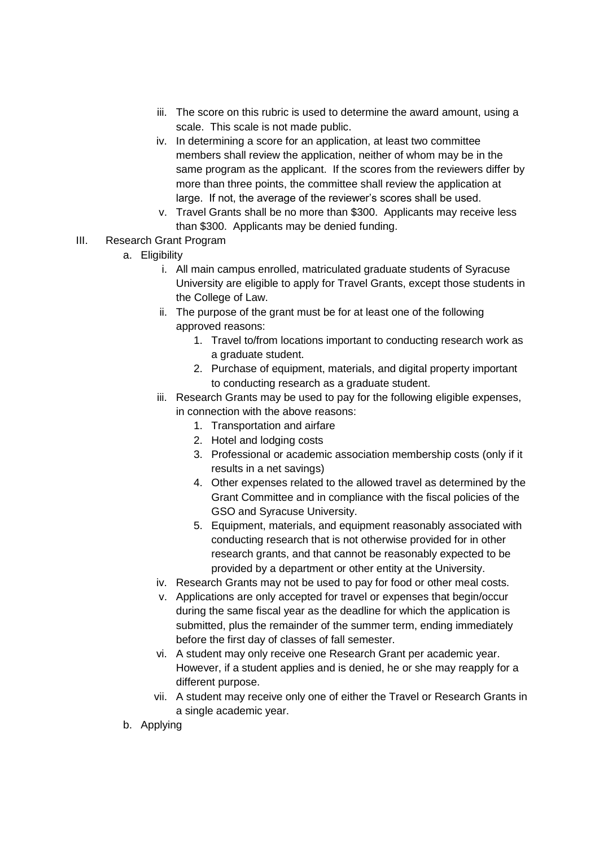- iii. The score on this rubric is used to determine the award amount, using a scale. This scale is not made public.
- iv. In determining a score for an application, at least two committee members shall review the application, neither of whom may be in the same program as the applicant. If the scores from the reviewers differ by more than three points, the committee shall review the application at large. If not, the average of the reviewer's scores shall be used.
- v. Travel Grants shall be no more than \$300. Applicants may receive less than \$300. Applicants may be denied funding.
- III. Research Grant Program
	- a. Eligibility
		- i. All main campus enrolled, matriculated graduate students of Syracuse University are eligible to apply for Travel Grants, except those students in the College of Law.
		- ii. The purpose of the grant must be for at least one of the following approved reasons:
			- 1. Travel to/from locations important to conducting research work as a graduate student.
			- 2. Purchase of equipment, materials, and digital property important to conducting research as a graduate student.
		- iii. Research Grants may be used to pay for the following eligible expenses, in connection with the above reasons:
			- 1. Transportation and airfare
			- 2. Hotel and lodging costs
			- 3. Professional or academic association membership costs (only if it results in a net savings)
			- 4. Other expenses related to the allowed travel as determined by the Grant Committee and in compliance with the fiscal policies of the GSO and Syracuse University.
			- 5. Equipment, materials, and equipment reasonably associated with conducting research that is not otherwise provided for in other research grants, and that cannot be reasonably expected to be provided by a department or other entity at the University.
		- iv. Research Grants may not be used to pay for food or other meal costs.
		- v. Applications are only accepted for travel or expenses that begin/occur during the same fiscal year as the deadline for which the application is submitted, plus the remainder of the summer term, ending immediately before the first day of classes of fall semester.
		- vi. A student may only receive one Research Grant per academic year. However, if a student applies and is denied, he or she may reapply for a different purpose.
		- vii. A student may receive only one of either the Travel or Research Grants in a single academic year.
	- b. Applying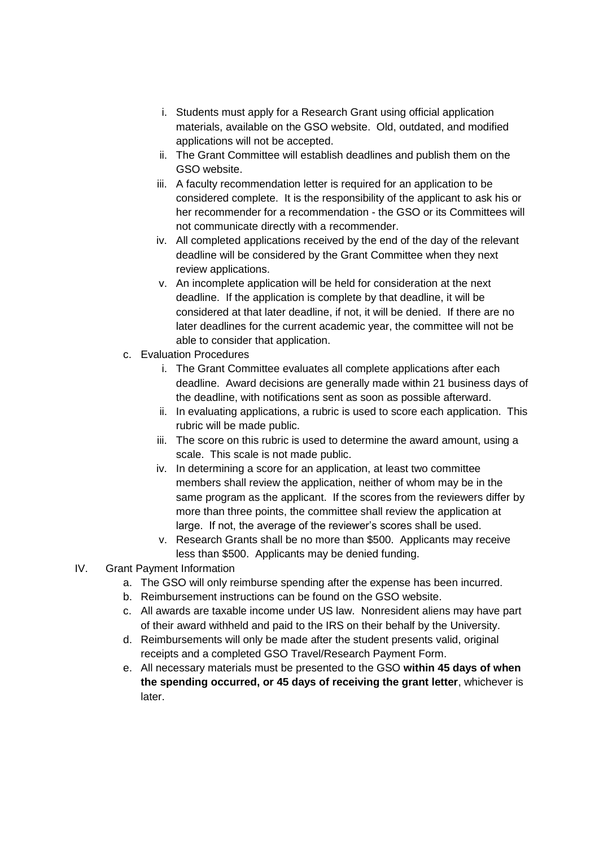- i. Students must apply for a Research Grant using official application materials, available on the GSO website. Old, outdated, and modified applications will not be accepted.
- ii. The Grant Committee will establish deadlines and publish them on the GSO website.
- iii. A faculty recommendation letter is required for an application to be considered complete. It is the responsibility of the applicant to ask his or her recommender for a recommendation - the GSO or its Committees will not communicate directly with a recommender.
- iv. All completed applications received by the end of the day of the relevant deadline will be considered by the Grant Committee when they next review applications.
- v. An incomplete application will be held for consideration at the next deadline. If the application is complete by that deadline, it will be considered at that later deadline, if not, it will be denied. If there are no later deadlines for the current academic year, the committee will not be able to consider that application.
- c. Evaluation Procedures
	- i. The Grant Committee evaluates all complete applications after each deadline. Award decisions are generally made within 21 business days of the deadline, with notifications sent as soon as possible afterward.
	- ii. In evaluating applications, a rubric is used to score each application. This rubric will be made public.
	- iii. The score on this rubric is used to determine the award amount, using a scale. This scale is not made public.
	- iv. In determining a score for an application, at least two committee members shall review the application, neither of whom may be in the same program as the applicant. If the scores from the reviewers differ by more than three points, the committee shall review the application at large. If not, the average of the reviewer's scores shall be used.
	- v. Research Grants shall be no more than \$500. Applicants may receive less than \$500. Applicants may be denied funding.
- IV. Grant Payment Information
	- a. The GSO will only reimburse spending after the expense has been incurred.
	- b. Reimbursement instructions can be found on the GSO website.
	- c. All awards are taxable income under US law. Nonresident aliens may have part of their award withheld and paid to the IRS on their behalf by the University.
	- d. Reimbursements will only be made after the student presents valid, original receipts and a completed GSO Travel/Research Payment Form.
	- e. All necessary materials must be presented to the GSO **within 45 days of when the spending occurred, or 45 days of receiving the grant letter**, whichever is later.